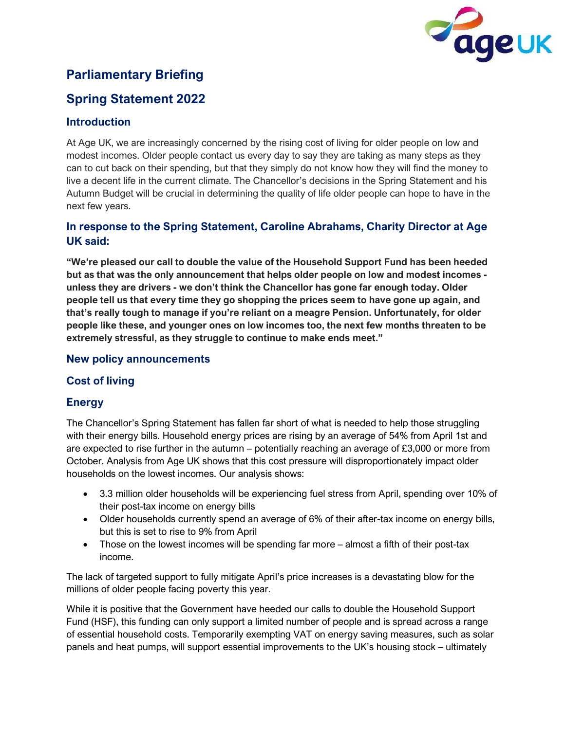

# **Parliamentary Briefing**

# **Spring Statement 2022**

# **Introduction**

At Age UK, we are increasingly concerned by the rising cost of living for older people on low and modest incomes. Older people contact us every day to say they are taking as many steps as they can to cut back on their spending, but that they simply do not know how they will find the money to live a decent life in the current climate. The Chancellor's decisions in the Spring Statement and his Autumn Budget will be crucial in determining the quality of life older people can hope to have in the next few years.

# **In response to the Spring Statement, Caroline Abrahams, Charity Director at Age UK said:**

**"We're pleased our call to double the value of the Household Support Fund has been heeded but as that was the only announcement that helps older people on low and modest incomes unless they are drivers - we don't think the Chancellor has gone far enough today. Older people tell us that every time they go shopping the prices seem to have gone up again, and that's really tough to manage if you're reliant on a meagre Pension. Unfortunately, for older people like these, and younger ones on low incomes too, the next few months threaten to be extremely stressful, as they struggle to continue to make ends meet."**

### **New policy announcements**

# **Cost of living**

# **Energy**

The Chancellor's Spring Statement has fallen far short of what is needed to help those struggling with their energy bills. Household energy prices are rising by an average of 54% from April 1st and are expected to rise further in the autumn – potentially reaching an average of  $£3,000$  or more from October. Analysis from Age UK shows that this cost pressure will disproportionately impact older households on the lowest incomes. Our analysis shows:

- 3.3 million older households will be experiencing fuel stress from April, spending over 10% of their post-tax income on energy bills
- Older households currently spend an average of 6% of their after-tax income on energy bills, but this is set to rise to 9% from April
- Those on the lowest incomes will be spending far more almost a fifth of their post-tax income.

The lack of targeted support to fully mitigate April's price increases is a devastating blow for the millions of older people facing poverty this year.

While it is positive that the Government have heeded our calls to double the Household Support Fund (HSF), this funding can only support a limited number of people and is spread across a range of essential household costs. Temporarily exempting VAT on energy saving measures, such as solar panels and heat pumps, will support essential improvements to the UK's housing stock – ultimately